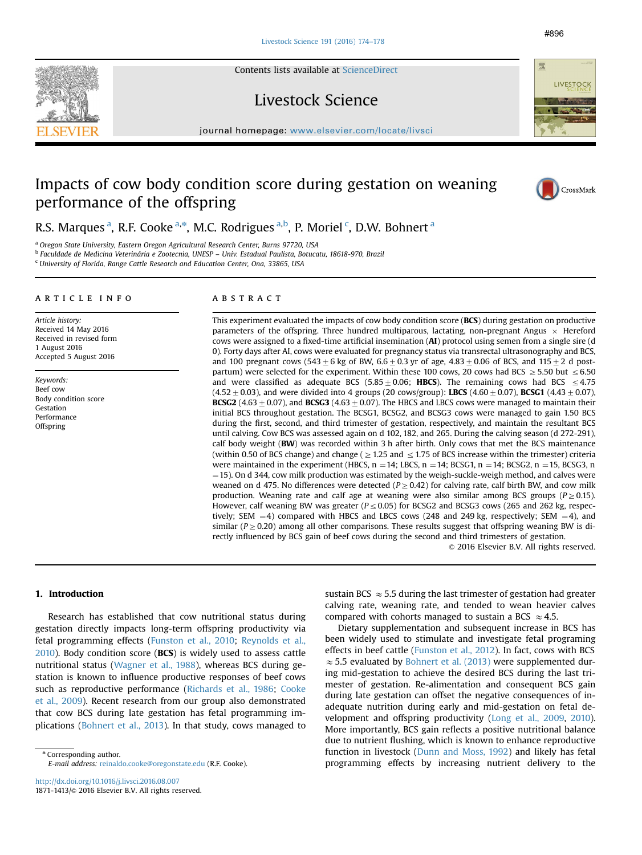Contents lists available at [ScienceDirect](www.sciencedirect.com/science/journal/18711413)

Livestock Science

journal homepage: <www.elsevier.com/locate/livsci>er.com/locate/livscier.com/locate/livscier.com/locate/livscier.com/locate/livscier.com/locate/livscier.com/locate/livscier.com/locate/livscier.com/locate/livscier.com/locate

# Impacts of cow body condition score during gestation on weaning performance of the offspring

R.S. Marques <sup>a</sup>, R.F. Cooke <sup>a,\*</sup>, M.C. Rodrigues <sup>a,b</sup>, P. Moriel <sup>c</sup>, D.W. Bohnert <sup>a</sup>

<sup>a</sup> Oregon State University, Eastern Oregon Agricultural Research Center, Burns 97720, USA

<sup>b</sup> Faculdade de Medicina Veterinária e Zootecnia, UNESP – Univ. Estadual Paulista, Botucatu, 18618-970, Brazil

 $\,^{\rm c}$  University of Florida, Range Cattle Research and Education Center, Ona, 33865, USA

## article info

Article history: Received 14 May 2016 Received in revised form 1 August 2016 Accepted 5 August 2016

Keywords: Beef cow Body condition score Gestation Performance **Offspring** 

# **ABSTRACT**

This experiment evaluated the impacts of cow body condition score (BCS) during gestation on productive parameters of the offspring. Three hundred multiparous, lactating, non-pregnant Angus  $\times$  Hereford cows were assigned to a fixed-time artificial insemination (AI) protocol using semen from a single sire (d 0). Forty days after AI, cows were evaluated for pregnancy status via transrectal ultrasonography and BCS, and 100 pregnant cows (543  $\pm$  6 kg of BW, 6.6  $\pm$  0.3 yr of age, 4.83  $\pm$  0.06 of BCS, and 115  $\pm$  2 d postpartum) were selected for the experiment. Within these 100 cows, 20 cows had BCS  $\geq$  5.50 but  $\leq$  6.50 and were classified as adequate BCS (5.85  $\pm$  0.06; HBCS). The remaining cows had BCS  $\leq$  4.75  $(4.52 \pm 0.03)$ , and were divided into 4 groups (20 cows/group): LBCS (4.60  $\pm$  0.07), BCSG1 (4.43  $\pm$  0.07), **BCSG2** (4.63 + 0.07), and **BCSG3** (4.63 + 0.07). The HBCS and LBCS cows were managed to maintain their initial BCS throughout gestation. The BCSG1, BCSG2, and BCSG3 cows were managed to gain 1.50 BCS during the first, second, and third trimester of gestation, respectively, and maintain the resultant BCS until calving. Cow BCS was assessed again on d 102, 182, and 265. During the calving season (d 272-291), calf body weight (BW) was recorded within 3 h after birth. Only cows that met the BCS maintenance (within 0.50 of BCS change) and change ( $\geq$  1.25 and  $\leq$  1.75 of BCS increase within the trimester) criteria were maintained in the experiment (HBCS,  $n = 14$ ; LBCS,  $n = 14$ ; BCSG1,  $n = 14$ ; BCSG2,  $n = 15$ , BCSG3, n  $=$  15). On d 344, cow milk production was estimated by the weigh-suckle-weigh method, and calves were weaned on d 475. No differences were detected ( $P \ge 0.42$ ) for calving rate, calf birth BW, and cow milk production. Weaning rate and calf age at weaning were also similar among BCS groups ( $P \ge 0.15$ ). However, calf weaning BW was greater ( $P \le 0.05$ ) for BCSG2 and BCSG3 cows (265 and 262 kg, respectively; SEM  $=4$ ) compared with HBCS and LBCS cows (248 and 249 kg, respectively; SEM  $=4$ ), and similar ( $P \ge 0.20$ ) among all other comparisons. These results suggest that offspring weaning BW is directly influenced by BCS gain of beef cows during the second and third trimesters of gestation.

 $\odot$  2016 Elsevier B.V. All rights reserved.

# 1. Introduction

Research has established that cow nutritional status during gestation directly impacts long-term offspring productivity via fetal programming effects [\(Funston et al., 2010;](#page-4-0) [Reynolds et al.,](#page-4-0) [2010\)](#page-4-0). Body condition score (BCS) is widely used to assess cattle nutritional status ([Wagner et al., 1988\)](#page-4-0), whereas BCS during gestation is known to influence productive responses of beef cows such as reproductive performance ([Richards et al., 1986;](#page-4-0) [Cooke](#page-4-0) [et al., 2009\)](#page-4-0). Recent research from our group also demonstrated that cow BCS during late gestation has fetal programming implications ([Bohnert et al., 2013\)](#page-4-0). In that study, cows managed to

\* Corresponding author. E-mail address: [reinaldo.cooke@oregonstate.edu](mailto:reinaldo.cooke@oregonstate.edu) (R.F. Cooke).

<http://dx.doi.org/10.1016/j.livsci.2016.08.007> 1871-1413/@ 2016 Elsevier B.V. All rights reserved. sustain BCS  $\approx$  5.5 during the last trimester of gestation had greater calving rate, weaning rate, and tended to wean heavier calves compared with cohorts managed to sustain a BCS  $\approx$  4.5.

Dietary supplementation and subsequent increase in BCS has been widely used to stimulate and investigate fetal programing effects in beef cattle ([Funston et al., 2012](#page-4-0)). In fact, cows with BCS  $\approx$  5.5 evaluated by [Bohnert et al. \(2013\)](#page-4-0) were supplemented during mid-gestation to achieve the desired BCS during the last trimester of gestation. Re-alimentation and consequent BCS gain during late gestation can offset the negative consequences of inadequate nutrition during early and mid-gestation on fetal development and offspring productivity [\(Long et al., 2009,](#page-4-0) [2010\)](#page-4-0). More importantly, BCS gain reflects a positive nutritional balance due to nutrient flushing, which is known to enhance reproductive function in livestock [\(Dunn and Moss, 1992\)](#page-4-0) and likely has fetal programming effects by increasing nutrient delivery to the



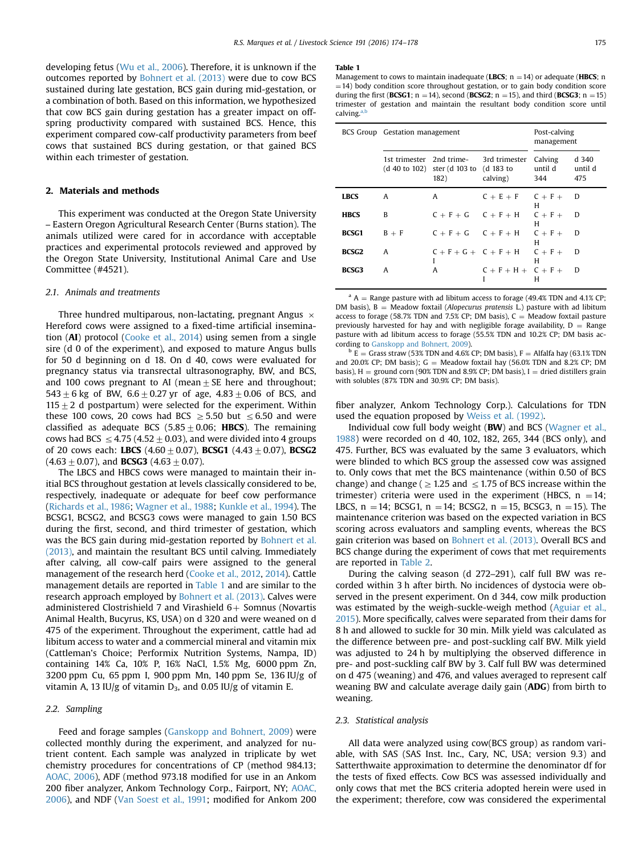<span id="page-1-0"></span>developing fetus [\(Wu et al., 2006\)](#page-4-0). Therefore, it is unknown if the outcomes reported by [Bohnert et al. \(2013\)](#page-4-0) were due to cow BCS sustained during late gestation, BCS gain during mid-gestation, or a combination of both. Based on this information, we hypothesized that cow BCS gain during gestation has a greater impact on offspring productivity compared with sustained BCS. Hence, this experiment compared cow-calf productivity parameters from beef cows that sustained BCS during gestation, or that gained BCS within each trimester of gestation.

# 2. Materials and methods

This experiment was conducted at the Oregon State University – Eastern Oregon Agricultural Research Center (Burns station). The animals utilized were cared for in accordance with acceptable practices and experimental protocols reviewed and approved by the Oregon State University, Institutional Animal Care and Use Committee (#4521).

### 2.1. Animals and treatments

Three hundred multiparous, non-lactating, pregnant Angus  $\times$ Hereford cows were assigned to a fixed-time artificial insemination (AI) protocol ([Cooke et al., 2014\)](#page-4-0) using semen from a single sire (d 0 of the experiment), and exposed to mature Angus bulls for 50 d beginning on d 18. On d 40, cows were evaluated for pregnancy status via transrectal ultrasonography, BW, and BCS, and 100 cows pregnant to AI (mean  $\pm$  SE here and throughout; 543  $\pm$  6 kg of BW, 6.6  $\pm$  0.27 yr of age, 4.83  $\pm$  0.06 of BCS, and 115 $\pm$ 2 d postpartum) were selected for the experiment. Within these 100 cows, 20 cows had BCS  $\geq$  5.50 but  $\leq$  6.50 and were classified as adequate BCS (5.85  $\pm$  0.06; HBCS). The remaining cows had BCS  $\leq$  4.75 (4.52 + 0.03), and were divided into 4 groups of 20 cows each: LBCS  $(4.60 \pm 0.07)$ , BCSG1  $(4.43 \pm 0.07)$ , BCSG2  $(4.63\pm0.07)$ , and **BCSG3** (4.63  $\pm$  0.07).

The LBCS and HBCS cows were managed to maintain their initial BCS throughout gestation at levels classically considered to be, respectively, inadequate or adequate for beef cow performance ([Richards et al., 1986;](#page-4-0) [Wagner et al., 1988](#page-4-0); [Kunkle et al., 1994](#page-4-0)). The BCSG1, BCSG2, and BCSG3 cows were managed to gain 1.50 BCS during the first, second, and third trimester of gestation, which was the BCS gain during mid-gestation reported by [Bohnert et al.](#page-4-0) [\(2013\),](#page-4-0) and maintain the resultant BCS until calving. Immediately after calving, all cow-calf pairs were assigned to the general management of the research herd ([Cooke et al., 2012](#page-4-0), [2014](#page-4-0)). Cattle management details are reported in Table 1 and are similar to the research approach employed by [Bohnert et al. \(2013\).](#page-4-0) Calves were administered Clostrishield 7 and Virashield  $6+$  Somnus (Novartis Animal Health, Bucyrus, KS, USA) on d 320 and were weaned on d 475 of the experiment. Throughout the experiment, cattle had ad libitum access to water and a commercial mineral and vitamin mix (Cattleman's Choice; Performix Nutrition Systems, Nampa, ID) containing 14% Ca, 10% P, 16% NaCl, 1.5% Mg, 6000 ppm Zn, 3200 ppm Cu, 65 ppm I, 900 ppm Mn, 140 ppm Se, 136 IU/g of vitamin A, 13 IU/g of vitamin  $D_3$ , and 0.05 IU/g of vitamin E.

# 2.2. Sampling

Feed and forage samples ([Ganskopp and Bohnert, 2009\)](#page-4-0) were collected monthly during the experiment, and analyzed for nutrient content. Each sample was analyzed in triplicate by wet chemistry procedures for concentrations of CP (method 984.13; [AOAC, 2006\)](#page-4-0), ADF (method 973.18 modified for use in an Ankom 200 fiber analyzer, Ankom Technology Corp., Fairport, NY; [AOAC,](#page-4-0) [2006\)](#page-4-0), and NDF [\(Van Soest et al., 1991;](#page-4-0) modified for Ankom 200

#### Table 1

|              | BCS Group Gestation management | Post-calving<br>management                                                 |                                     |                           |                         |
|--------------|--------------------------------|----------------------------------------------------------------------------|-------------------------------------|---------------------------|-------------------------|
|              |                                | 1st trimester 2nd trime-<br>(d 40 to 102) ster (d 103 to (d 183 to<br>182) | 3rd trimester<br>calving)           | Calving<br>until d<br>344 | d 340<br>until d<br>475 |
| <b>LBCS</b>  | A                              | A                                                                          | $C + E + F$ $C + F + D$             | н                         |                         |
| <b>HBCS</b>  | B                              |                                                                            | $C + F + G$ $C + F + H$ $C + F + D$ | н                         |                         |
| BCSG1        | $B + F$                        |                                                                            | $C + F + G$ $C + F + H$ $C + F + D$ | н                         |                         |
| <b>BCSG2</b> | A                              | L                                                                          | $C + F + G + C + F + H$ $C + F + D$ | H                         |                         |
| <b>BCSG3</b> | A                              | A                                                                          | $C + F + H + C + F + D$             | н                         |                         |

 $A =$  Range pasture with ad libitum access to forage (49.4% TDN and 4.1% CP; DM basis),  $B = Meadow$  foxtail (Alopecurus pratensis L.) pasture with ad libitum access to forage (58.7% TDN and 7.5% CP; DM basis),  $C =$  Meadow foxtail pasture previously harvested for hay and with negligible forage availability,  $D =$  Range pasture with ad libitum access to forage (55.5% TDN and 10.2% CP; DM basis according to [Ganskopp and Bohnert, 2009](#page-4-0)).

 $b E =$  Grass straw (53% TDN and 4.6% CP; DM basis), F = Alfalfa hay (63.1% TDN and 20.0% CP; DM basis); G = Meadow foxtail hay (56.0% TDN and 8.2% CP; DM basis),  $H =$  ground corn (90% TDN and 8.9% CP; DM basis), I = dried distillers grain with solubles (87% TDN and 30.9% CP; DM basis).

fiber analyzer, Ankom Technology Corp.). Calculations for TDN used the equation proposed by [Weiss et al. \(1992\)](#page-4-0).

Individual cow full body weight (BW) and BCS [\(Wagner et al.,](#page-4-0) [1988](#page-4-0)) were recorded on d 40, 102, 182, 265, 344 (BCS only), and 475. Further, BCS was evaluated by the same 3 evaluators, which were blinded to which BCS group the assessed cow was assigned to. Only cows that met the BCS maintenance (within 0.50 of BCS change) and change ( $\geq$  1.25 and  $\leq$  1.75 of BCS increase within the trimester) criteria were used in the experiment (HBCS,  $n = 14$ ; LBCS,  $n = 14$ ; BCSG1,  $n = 14$ ; BCSG2,  $n = 15$ , BCSG3,  $n = 15$ ). The maintenance criterion was based on the expected variation in BCS scoring across evaluators and sampling events, whereas the BCS gain criterion was based on [Bohnert et al. \(2013\)](#page-4-0). Overall BCS and BCS change during the experiment of cows that met requirements are reported in [Table 2](#page-2-0).

During the calving season (d 272–291), calf full BW was recorded within 3 h after birth. No incidences of dystocia were observed in the present experiment. On d 344, cow milk production was estimated by the weigh-suckle-weigh method ([Aguiar et al.,](#page-4-0) [2015\)](#page-4-0). More specifically, calves were separated from their dams for 8 h and allowed to suckle for 30 min. Milk yield was calculated as the difference between pre- and post-suckling calf BW. Milk yield was adjusted to 24 h by multiplying the observed difference in pre- and post-suckling calf BW by 3. Calf full BW was determined on d 475 (weaning) and 476, and values averaged to represent calf weaning BW and calculate average daily gain (ADG) from birth to weaning.

# 2.3. Statistical analysis

All data were analyzed using cow(BCS group) as random variable, with SAS (SAS Inst. Inc., Cary, NC, USA; version 9.3) and Satterthwaite approximation to determine the denominator df for the tests of fixed effects. Cow BCS was assessed individually and only cows that met the BCS criteria adopted herein were used in the experiment; therefore, cow was considered the experimental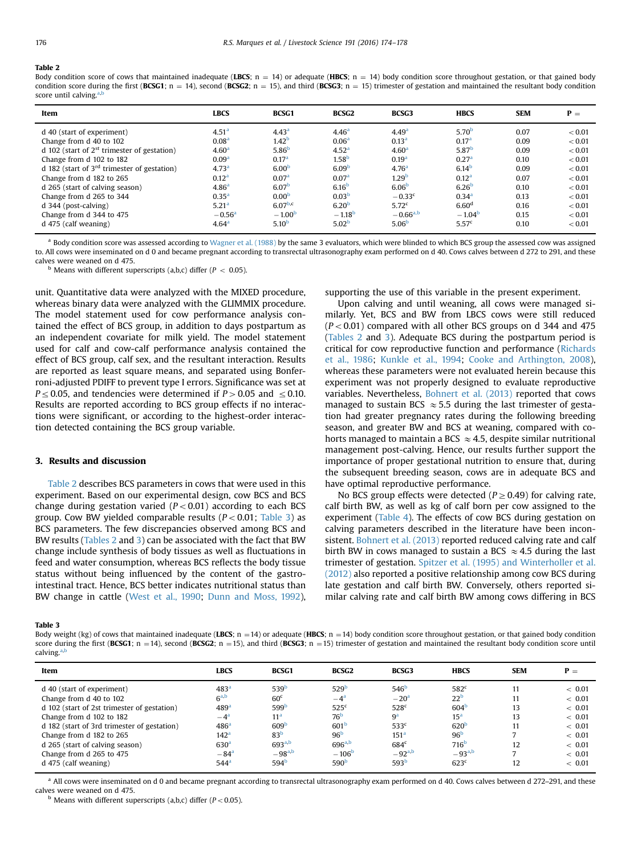#### <span id="page-2-0"></span>Table 2

Body condition score of cows that maintained inadequate (LBCS;  $n = 14$ ) or adequate (HBCS;  $n = 14$ ) body condition score throughout gestation, or that gained body condition score during the first (BCSG1; n = 14), second (BCSG2; n = 15), and third (BCSG3; n = 15) trimester of gestation and maintained the resultant body condition score until calving. $\frac{a}{2}$ 

| Item                                                                      | <b>LBCS</b>                            | <b>BCSG1</b>                           | <b>BCSG2</b>                           | <b>BCSG3</b>                              | <b>HBCS</b>                            | <b>SEM</b>   | $P =$            |
|---------------------------------------------------------------------------|----------------------------------------|----------------------------------------|----------------------------------------|-------------------------------------------|----------------------------------------|--------------|------------------|
| d 40 (start of experiment)<br>Change from d 40 to 102                     | 4.51 <sup>a</sup><br>0.08 <sup>a</sup> | 4.43 <sup>a</sup><br>1.42 <sup>b</sup> | 4.46 <sup>a</sup><br>0.06 <sup>a</sup> | 4.49 <sup>a</sup><br>0.13 <sup>a</sup>    | 5.70 <sup>b</sup><br>0.17 <sup>a</sup> | 0.07<br>0.09 | < 0.01<br>< 0.01 |
| d 102 (start of $2st$ trimester of gestation)                             | 4.60 <sup>a</sup>                      | 5.86 <sup>b</sup>                      | 4.52 <sup>a</sup>                      | 4.60 <sup>a</sup>                         | 5.87 <sup>b</sup>                      | 0.09         | < 0.01           |
| Change from d 102 to 182<br>d 182 (start of $3rd$ trimester of gestation) | 0.09 <sup>a</sup><br>4.73 <sup>a</sup> | 0.17 <sup>a</sup><br>6.00 <sup>b</sup> | 1.58 <sup>b</sup><br>6.09 <sup>b</sup> | 0.19 <sup>a</sup><br>4.76 <sup>a</sup>    | 0.27 <sup>a</sup><br>6.14 <sup>b</sup> | 0.10<br>0.09 | < 0.01<br>< 0.01 |
| Change from d 182 to 265                                                  | 0.12 <sup>a</sup>                      | 0.07 <sup>a</sup>                      | 0.07 <sup>a</sup>                      | 1.29 <sup>b</sup>                         | 0.12 <sup>a</sup>                      | 0.07         | < 0.01           |
| d 265 (start of calving season)<br>Change from d 265 to 344               | 4.86 <sup>a</sup><br>0.35 <sup>a</sup> | 6.07 <sup>b</sup><br>0.00 <sup>b</sup> | 6.16 <sup>b</sup><br>0.03 <sup>b</sup> | 6.06 <sup>b</sup><br>$-0.33$ <sup>c</sup> | 6.26 <sup>b</sup><br>0.34 <sup>a</sup> | 0.10<br>0.13 | < 0.01<br>< 0.01 |
| $d$ 344 (post-calving)                                                    | 5.21 <sup>a</sup>                      | $6.07^{b,c}$                           | 6.20 <sup>b</sup>                      | 5.72 <sup>c</sup>                         | 6.60 <sup>d</sup>                      | 0.16         | < 0.01           |
| Change from d 344 to 475<br>$d$ 475 (calf weaning)                        | $-0.56a$<br>4.64 <sup>a</sup>          | $-1.00b$<br>5.10 <sup>b</sup>          | $-1.18^{b}$<br>5.02 <sup>b</sup>       | $-0.66^{a,b}$<br>5.06 <sup>b</sup>        | $-1.04^{\rm b}$<br>5.57 <sup>c</sup>   | 0.15<br>0.10 | < 0.01<br>< 0.01 |
|                                                                           |                                        |                                        |                                        |                                           |                                        |              |                  |

a Body condition score was assessed according to [Wagner et al. \(1988\)](#page-4-0) by the same 3 evaluators, which were blinded to which BCS group the assessed cow was assigned to. All cows were inseminated on d 0 and became pregnant according to transrectal ultrasonography exam performed on d 40. Cows calves between d 272 to 291, and these calves were weaned on d 475.

 $<sup>b</sup>$  Means with different superscripts (a,b,c) differ ( $P < 0.05$ ).</sup>

unit. Quantitative data were analyzed with the MIXED procedure, whereas binary data were analyzed with the GLIMMIX procedure. The model statement used for cow performance analysis contained the effect of BCS group, in addition to days postpartum as an independent covariate for milk yield. The model statement used for calf and cow-calf performance analysis contained the effect of BCS group, calf sex, and the resultant interaction. Results are reported as least square means, and separated using Bonferroni-adjusted PDIFF to prevent type I errors. Significance was set at  $P \leq 0.05$ , and tendencies were determined if  $P > 0.05$  and  $\leq 0.10$ . Results are reported according to BCS group effects if no interactions were significant, or according to the highest-order interaction detected containing the BCS group variable.

# 3. Results and discussion

Table 2 describes BCS parameters in cows that were used in this experiment. Based on our experimental design, cow BCS and BCS change during gestation varied  $(P<0.01)$  according to each BCS group. Cow BW yielded comparable results  $(P<0.01$ ; Table 3) as BCS parameters. The few discrepancies observed among BCS and BW results (Tables 2 and 3) can be associated with the fact that BW change include synthesis of body tissues as well as fluctuations in feed and water consumption, whereas BCS reflects the body tissue status without being influenced by the content of the gastrointestinal tract. Hence, BCS better indicates nutritional status than BW change in cattle ([West et al., 1990](#page-4-0); [Dunn and Moss, 1992\)](#page-4-0), supporting the use of this variable in the present experiment.

Upon calving and until weaning, all cows were managed similarly. Yet, BCS and BW from LBCS cows were still reduced  $(P<0.01)$  compared with all other BCS groups on d 344 and 475 (Tables 2 and 3). Adequate BCS during the postpartum period is critical for cow reproductive function and performance [\(Richards](#page-4-0) [et al., 1986;](#page-4-0) [Kunkle et al., 1994](#page-4-0); [Cooke and Arthington, 2008\)](#page-4-0), whereas these parameters were not evaluated herein because this experiment was not properly designed to evaluate reproductive variables. Nevertheless, [Bohnert et al. \(2013\)](#page-4-0) reported that cows managed to sustain BCS  $\approx$  5.5 during the last trimester of gestation had greater pregnancy rates during the following breeding season, and greater BW and BCS at weaning, compared with cohorts managed to maintain a BCS  $\approx$  4.5, despite similar nutritional management post-calving. Hence, our results further support the importance of proper gestational nutrition to ensure that, during the subsequent breeding season, cows are in adequate BCS and have optimal reproductive performance.

No BCS group effects were detected ( $P \ge 0.49$ ) for calving rate, calf birth BW, as well as kg of calf born per cow assigned to the experiment [\(Table 4\)](#page-3-0). The effects of cow BCS during gestation on calving parameters described in the literature have been inconsistent. [Bohnert et al. \(2013\)](#page-4-0) reported reduced calving rate and calf birth BW in cows managed to sustain a BCS  $\approx$  4.5 during the last trimester of gestation. [Spitzer et al. \(1995\) and Winterholler et al.](#page-4-0) [\(2012\)](#page-4-0) also reported a positive relationship among cow BCS during late gestation and calf birth BW. Conversely, others reported similar calving rate and calf birth BW among cows differing in BCS

#### Table 3

Body weight (kg) of cows that maintained inadequate (LBCS; n = 14) or adequate (HBCS; n = 14) body condition score throughout gestation, or that gained body condition score during the first (BCSG1; n = 14), second (BCSG2; n = 15), and third (BCSG3; n = 15) trimester of gestation and maintained the resultant body condition score until calving.<sup>a,b</sup>

| Item                                        | <b>LBCS</b>        | <b>BCSG1</b>     | <b>BCSG2</b>     | <b>BCSG3</b>     | <b>HBCS</b>      | <b>SEM</b> | $P =$  |
|---------------------------------------------|--------------------|------------------|------------------|------------------|------------------|------------|--------|
| d 40 (start of experiment)                  | 483 <sup>a</sup>   | 539 <sup>b</sup> | 529 <sup>b</sup> | 546 <sup>b</sup> | 582 <sup>c</sup> | 11         | < 0.01 |
| Change from d 40 to 102                     | 6 <sup>a,b</sup>   | 60 <sup>c</sup>  | $-4^{\rm a}$     | $-20a$           | 22 <sup>b</sup>  | 11         | < 0.01 |
| d 102 (start of 2st trimester of gestation) | 489 <sup>a</sup>   | 599 <sup>b</sup> | 525 <sup>c</sup> | 528 <sup>c</sup> | 604 <sup>b</sup> | 13         | < 0.01 |
| Change from d 102 to 182                    | $-4^{\rm a}$       | 11 <sup>a</sup>  | 76 <sup>b</sup>  | 9 <sup>a</sup>   | 15 <sup>a</sup>  | 13         | < 0.01 |
| d 182 (start of 3rd trimester of gestation) | 486 <sup>a</sup>   | 609 <sup>b</sup> | 601 <sup>b</sup> | 533 <sup>c</sup> | 620 <sup>E</sup> | 11         | < 0.01 |
| Change from d 182 to 265                    | 142 <sup>a</sup>   | 83 <sup>b</sup>  | 96 <sup>b</sup>  | 151 <sup>a</sup> | 96 <sup>b</sup>  |            | < 0.01 |
| d 265 (start of calving season)             | 630 <sup>a</sup>   | $693^{a,b}$      | $696^{a,b}$      | 684 <sup>c</sup> | 716 <sup>b</sup> | 12         | < 0.01 |
| Change from d 265 to 475                    | $-84$ <sup>a</sup> | $-98^{a,b}$      | $-106b$          | $-92^{a,b}$      | $-93^{a,b}$      | п,         | < 0.01 |
| d 475 (calf weaning)                        | 544 <sup>a</sup>   | 594 <sup>b</sup> | 590 <sup>b</sup> | 593 <sup>b</sup> | 623 <sup>c</sup> | 12         | < 0.01 |

 $^{\text{a}}$  All cows were inseminated on d 0 and became pregnant according to transrectal ultrasonography exam performed on d 40. Cows calves between d 272–291, and these calves were weaned on d 475.

 $<sup>b</sup>$  Means with different superscripts (a,b,c) differ ( $P < 0.05$ ).</sup>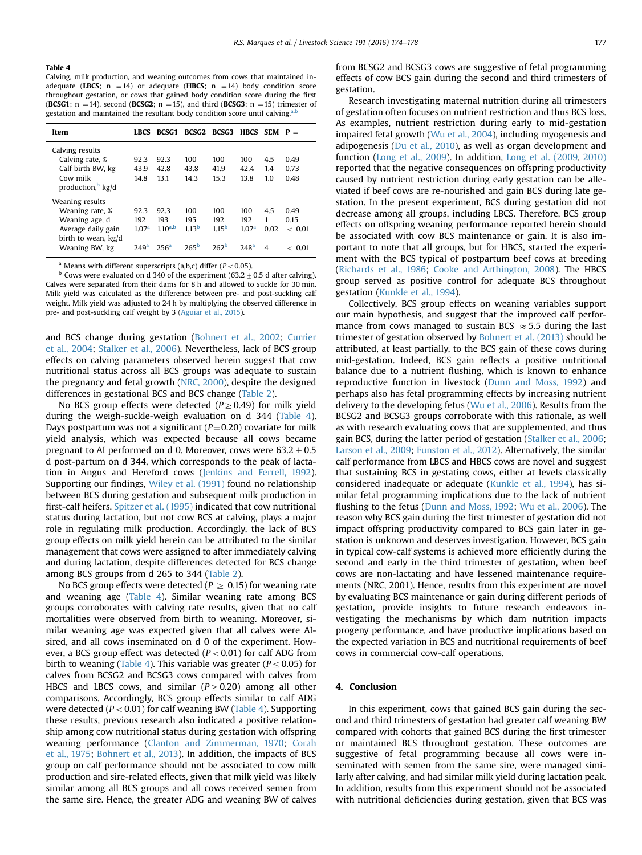## <span id="page-3-0"></span>Table 4

Calving, milk production, and weaning outcomes from cows that maintained inadequate (LBCS;  $n = 14$ ) or adequate (HBCS;  $n = 14$ ) body condition score throughout gestation, or cows that gained body condition score during the first (BCSG1;  $n = 14$ ), second (BCSG2;  $n = 15$ ), and third (BCSG3;  $n = 15$ ) trimester of gestation and maintained the resultant body condition score until calving.<sup>a</sup>

| Item                                                                                                                | <b>LBCS</b>                                          | <b>BCSG1</b>                                    |                                                  | BCSG2 BCSG3 HBCS SEM $P =$                          |                                                     |                       |                                    |
|---------------------------------------------------------------------------------------------------------------------|------------------------------------------------------|-------------------------------------------------|--------------------------------------------------|-----------------------------------------------------|-----------------------------------------------------|-----------------------|------------------------------------|
| Calving results<br>Calving rate, %<br>Calf birth BW, kg<br>Cow milk<br>production, kg/d                             | 92.3<br>43.9<br>14.8                                 | 92.3<br>42.8<br>13.1                            | 100<br>43.8<br>14.3                              | 100<br>41.9<br>15.3                                 | 100<br>42.4<br>13.8                                 | 4.5<br>1.4<br>1.0     | 0.49<br>0.73<br>0.48               |
| Weaning results<br>Weaning rate, %<br>Weaning age, d<br>Average daily gain<br>birth to wean, kg/d<br>Weaning BW, kg | 92.3<br>192<br>1.07 <sup>a</sup><br>249 <sup>a</sup> | 92.3<br>193<br>$1.10^{a,b}$<br>256 <sup>a</sup> | 100<br>195<br>1.13 <sup>b</sup><br>$265^{\rm b}$ | 100<br>192<br>1.15 <sup>b</sup><br>262 <sup>b</sup> | 100<br>192<br>1.07 <sup>a</sup><br>248 <sup>a</sup> | 4.5<br>1<br>0.02<br>4 | 0.49<br>0.15<br>~<~0.01<br>~<~0.01 |

<sup>a</sup> Means with different superscripts  $(a,b,c)$  differ  $(P < 0.05)$ .

 $<sup>b</sup>$  Cows were evaluated on d 340 of the experiment (63.2  $\pm$  0.5 d after calving).</sup> Calves were separated from their dams for 8 h and allowed to suckle for 30 min. Milk yield was calculated as the difference between pre- and post-suckling calf weight. Milk yield was adjusted to 24 h by multiplying the observed difference in pre- and post-suckling calf weight by 3 ([Aguiar et al., 2015](#page-4-0)).

and BCS change during gestation ([Bohnert et al., 2002](#page-4-0); [Currier](#page-4-0) [et al., 2004;](#page-4-0) [Stalker et al., 2006\)](#page-4-0). Nevertheless, lack of BCS group effects on calving parameters observed herein suggest that cow nutritional status across all BCS groups was adequate to sustain the pregnancy and fetal growth ([NRC, 2000\)](#page-4-0), despite the designed differences in gestational BCS and BCS change ([Table 2](#page-2-0)).

No BCS group effects were detected ( $P \ge 0.49$ ) for milk yield during the weigh-suckle-weigh evaluation on d 344 (Table 4). Days postpartum was not a significant  $(P=0.20)$  covariate for milk yield analysis, which was expected because all cows became pregnant to AI performed on d 0. Moreover, cows were  $63.2\pm0.5$ d post-partum on d 344, which corresponds to the peak of lactation in Angus and Hereford cows [\(Jenkins and Ferrell, 1992\)](#page-4-0). Supporting our findings, [Wiley et al. \(1991\)](#page-4-0) found no relationship between BCS during gestation and subsequent milk production in first-calf heifers. [Spitzer et al. \(1995\)](#page-4-0) indicated that cow nutritional status during lactation, but not cow BCS at calving, plays a major role in regulating milk production. Accordingly, the lack of BCS group effects on milk yield herein can be attributed to the similar management that cows were assigned to after immediately calving and during lactation, despite differences detected for BCS change among BCS groups from d 265 to 344 [\(Table 2\)](#page-2-0).

No BCS group effects were detected ( $P \ge 0.15$ ) for weaning rate and weaning age (Table 4). Similar weaning rate among BCS groups corroborates with calving rate results, given that no calf mortalities were observed from birth to weaning. Moreover, similar weaning age was expected given that all calves were AIsired, and all cows inseminated on d 0 of the experiment. However, a BCS group effect was detected ( $P < 0.01$ ) for calf ADG from birth to weaning (Table 4). This variable was greater ( $P \leq 0.05$ ) for calves from BCSG2 and BCSG3 cows compared with calves from HBCS and LBCS cows, and similar ( $P \ge 0.20$ ) among all other comparisons. Accordingly, BCS group effects similar to calf ADG were detected ( $P < 0.01$ ) for calf weaning BW (Table 4). Supporting these results, previous research also indicated a positive relationship among cow nutritional status during gestation with offspring weaning performance [\(Clanton and Zimmerman, 1970](#page-4-0); [Corah](#page-4-0) [et al., 1975](#page-4-0); [Bohnert et al., 2013\)](#page-4-0). In addition, the impacts of BCS group on calf performance should not be associated to cow milk production and sire-related effects, given that milk yield was likely similar among all BCS groups and all cows received semen from the same sire. Hence, the greater ADG and weaning BW of calves from BCSG2 and BCSG3 cows are suggestive of fetal programming effects of cow BCS gain during the second and third trimesters of gestation.

Research investigating maternal nutrition during all trimesters of gestation often focuses on nutrient restriction and thus BCS loss. As examples, nutrient restriction during early to mid-gestation impaired fetal growth ([Wu et al., 2004](#page-4-0)), including myogenesis and adipogenesis [\(Du et al., 2010](#page-4-0)), as well as organ development and function [\(Long et al., 2009](#page-4-0)). In addition, [Long et al. \(2009](#page-4-0), [2010\)](#page-4-0) reported that the negative consequences on offspring productivity caused by nutrient restriction during early gestation can be alleviated if beef cows are re-nourished and gain BCS during late gestation. In the present experiment, BCS during gestation did not decrease among all groups, including LBCS. Therefore, BCS group effects on offspring weaning performance reported herein should be associated with cow BCS maintenance or gain. It is also important to note that all groups, but for HBCS, started the experiment with the BCS typical of postpartum beef cows at breeding ([Richards et al., 1986](#page-4-0); [Cooke and Arthington, 2008\)](#page-4-0). The HBCS group served as positive control for adequate BCS throughout gestation [\(Kunkle et al., 1994](#page-4-0)).

Collectively, BCS group effects on weaning variables support our main hypothesis, and suggest that the improved calf performance from cows managed to sustain BCS  $\approx$  5.5 during the last trimester of gestation observed by [Bohnert et al. \(2013\)](#page-4-0) should be attributed, at least partially, to the BCS gain of these cows during mid-gestation. Indeed, BCS gain reflects a positive nutritional balance due to a nutrient flushing, which is known to enhance reproductive function in livestock ([Dunn and Moss, 1992\)](#page-4-0) and perhaps also has fetal programming effects by increasing nutrient delivery to the developing fetus [\(Wu et al., 2006\)](#page-4-0). Results from the BCSG2 and BCSG3 groups corroborate with this rationale, as well as with research evaluating cows that are supplemented, and thus gain BCS, during the latter period of gestation ([Stalker et al., 2006;](#page-4-0) [Larson et al., 2009](#page-4-0); [Funston et al., 2012](#page-4-0)). Alternatively, the similar calf performance from LBCS and HBCS cows are novel and suggest that sustaining BCS in gestating cows, either at levels classically considered inadequate or adequate ([Kunkle et al., 1994](#page-4-0)), has similar fetal programming implications due to the lack of nutrient flushing to the fetus [\(Dunn and Moss, 1992;](#page-4-0) [Wu et al., 2006](#page-4-0)). The reason why BCS gain during the first trimester of gestation did not impact offspring productivity compared to BCS gain later in gestation is unknown and deserves investigation. However, BCS gain in typical cow-calf systems is achieved more efficiently during the second and early in the third trimester of gestation, when beef cows are non-lactating and have lessened maintenance requirements (NRC, 2001). Hence, results from this experiment are novel by evaluating BCS maintenance or gain during different periods of gestation, provide insights to future research endeavors investigating the mechanisms by which dam nutrition impacts progeny performance, and have productive implications based on the expected variation in BCS and nutritional requirements of beef cows in commercial cow-calf operations.

# 4. Conclusion

In this experiment, cows that gained BCS gain during the second and third trimesters of gestation had greater calf weaning BW compared with cohorts that gained BCS during the first trimester or maintained BCS throughout gestation. These outcomes are suggestive of fetal programming because all cows were inseminated with semen from the same sire, were managed similarly after calving, and had similar milk yield during lactation peak. In addition, results from this experiment should not be associated with nutritional deficiencies during gestation, given that BCS was